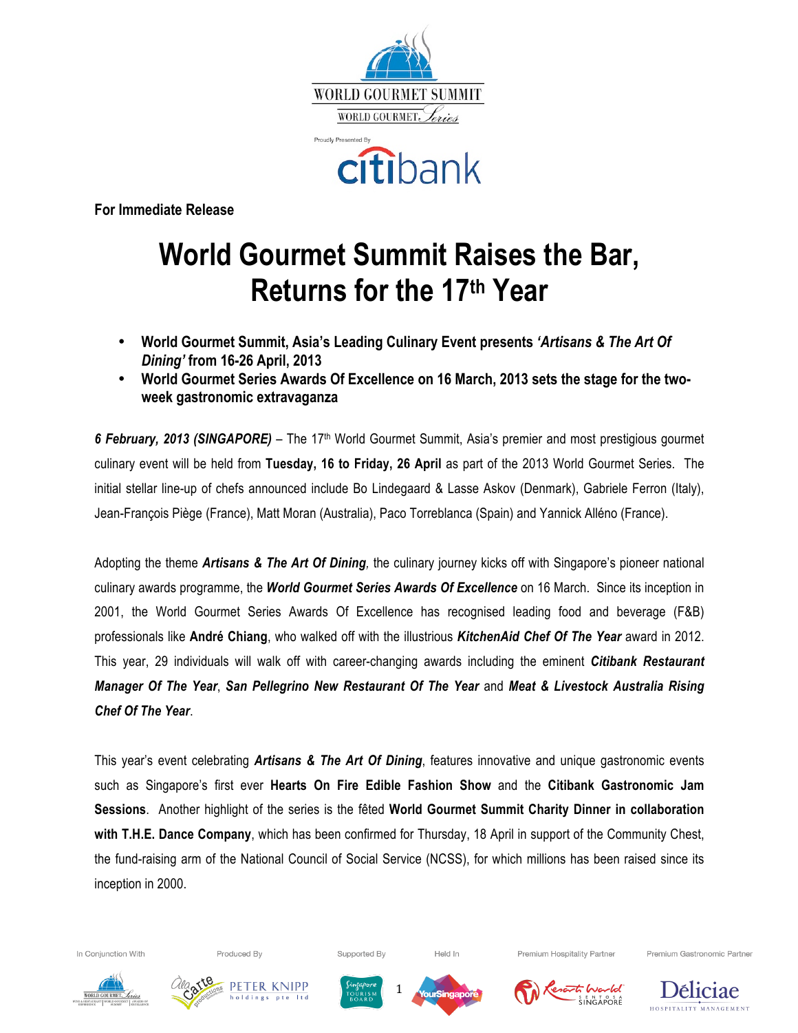



**For Immediate Release**

# **World Gourmet Summit Raises the Bar, Returns for the 17th Year**

- **World Gourmet Summit, Asia's Leading Culinary Event presents** *'Artisans & The Art Of Dining'* **from 16-26 April, 2013**
- **World Gourmet Series Awards Of Excellence on 16 March, 2013 sets the stage for the twoweek gastronomic extravaganza**

*6 February, 2013 (SINGAPORE)* – The 17th World Gourmet Summit, Asia's premier and most prestigious gourmet culinary event will be held from **Tuesday, 16 to Friday, 26 April** as part of the 2013 World Gourmet Series. The initial stellar line-up of chefs announced include Bo Lindegaard & Lasse Askov (Denmark), Gabriele Ferron (Italy), Jean-François Piège (France), Matt Moran (Australia), Paco Torreblanca (Spain) and Yannick Alléno (France).

Adopting the theme *Artisans & The Art Of Dining,* the culinary journey kicks off with Singapore's pioneer national culinary awards programme, the *World Gourmet Series Awards Of Excellence* on 16 March. Since its inception in 2001, the World Gourmet Series Awards Of Excellence has recognised leading food and beverage (F&B) professionals like **André Chiang**, who walked off with the illustrious *KitchenAid Chef Of The Year* award in 2012. This year, 29 individuals will walk off with career-changing awards including the eminent *Citibank Restaurant Manager Of The Year*, *San Pellegrino New Restaurant Of The Year* and *Meat & Livestock Australia Rising Chef Of The Year*.

This year's event celebrating *Artisans & The Art Of Dining*, features innovative and unique gastronomic events such as Singapore's first ever **Hearts On Fire Edible Fashion Show** and the **Citibank Gastronomic Jam Sessions**. Another highlight of the series is the fêted **World Gourmet Summit Charity Dinner in collaboration with T.H.E. Dance Company**, which has been confirmed for Thursday, 18 April in support of the Community Chest, the fund-raising arm of the National Council of Social Service (NCSS), for which millions has been raised since its inception in 2000.

1



Produced By







Supported By



Held In



Premium Hospitality Partner



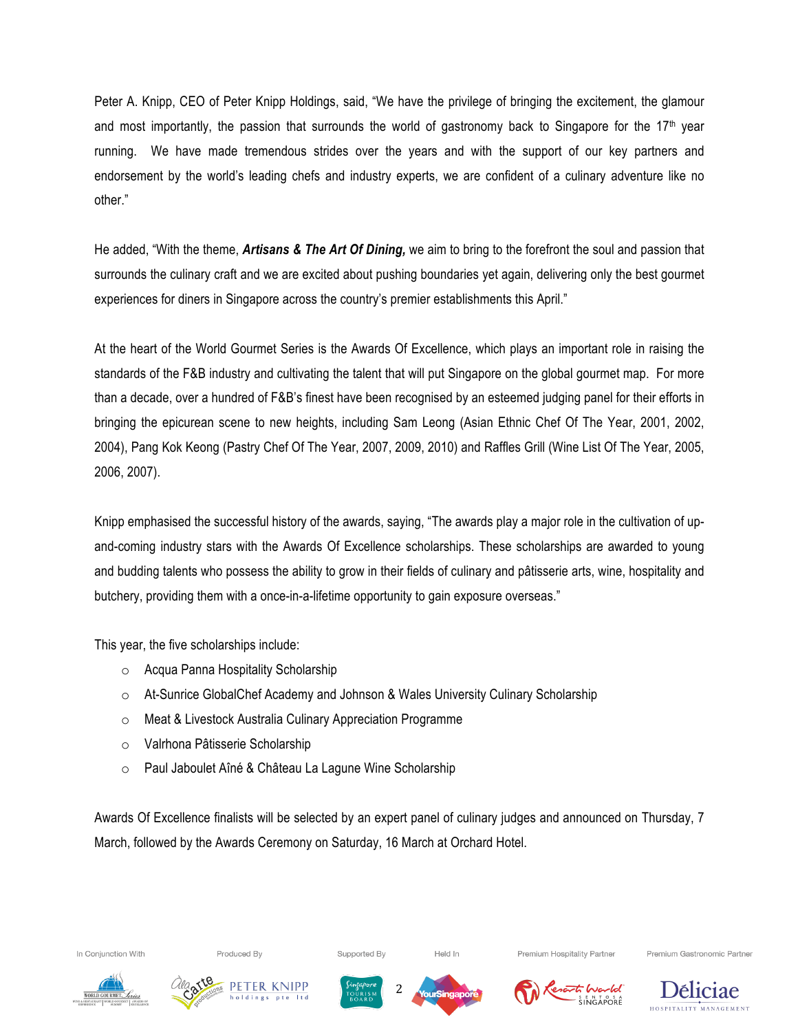Peter A. Knipp, CEO of Peter Knipp Holdings, said, "We have the privilege of bringing the excitement, the glamour and most importantly, the passion that surrounds the world of gastronomy back to Singapore for the 17<sup>th</sup> year running. We have made tremendous strides over the years and with the support of our key partners and endorsement by the world's leading chefs and industry experts, we are confident of a culinary adventure like no other."

He added, "With the theme, *Artisans & The Art Of Dining,* we aim to bring to the forefront the soul and passion that surrounds the culinary craft and we are excited about pushing boundaries yet again, delivering only the best gourmet experiences for diners in Singapore across the country's premier establishments this April."

At the heart of the World Gourmet Series is the Awards Of Excellence, which plays an important role in raising the standards of the F&B industry and cultivating the talent that will put Singapore on the global gourmet map. For more than a decade, over a hundred of F&B's finest have been recognised by an esteemed judging panel for their efforts in bringing the epicurean scene to new heights, including Sam Leong (Asian Ethnic Chef Of The Year, 2001, 2002, 2004), Pang Kok Keong (Pastry Chef Of The Year, 2007, 2009, 2010) and Raffles Grill (Wine List Of The Year, 2005, 2006, 2007).

Knipp emphasised the successful history of the awards, saying, "The awards play a major role in the cultivation of upand-coming industry stars with the Awards Of Excellence scholarships. These scholarships are awarded to young and budding talents who possess the ability to grow in their fields of culinary and pâtisserie arts, wine, hospitality and butchery, providing them with a once-in-a-lifetime opportunity to gain exposure overseas."

This year, the five scholarships include:

- o Acqua Panna Hospitality Scholarship
- o At-Sunrice GlobalChef Academy and Johnson & Wales University Culinary Scholarship
- o Meat & Livestock Australia Culinary Appreciation Programme
- o Valrhona Pâtisserie Scholarship
- o Paul Jaboulet Aîné & Château La Lagune Wine Scholarship

Awards Of Excellence finalists will be selected by an expert panel of culinary judges and announced on Thursday, 7 March, followed by the Awards Ceremony on Saturday, 16 March at Orchard Hotel.



Produced By

Supported By





Premium Hospitality Partner









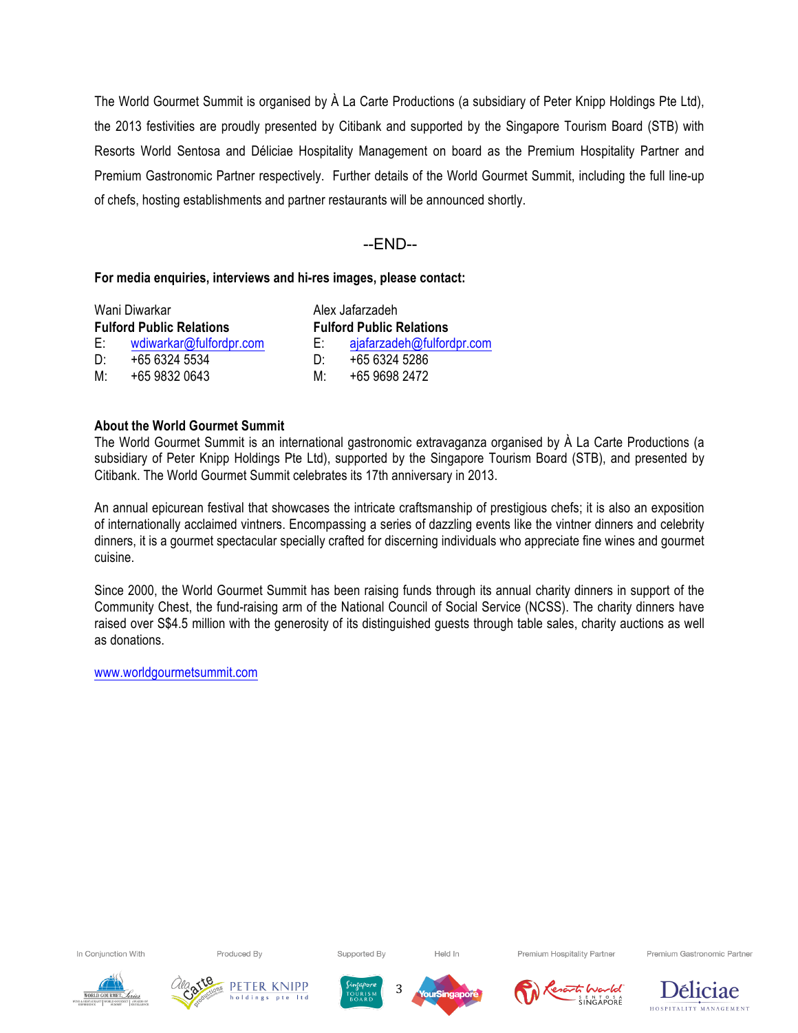The World Gourmet Summit is organised by À La Carte Productions (a subsidiary of Peter Knipp Holdings Pte Ltd), the 2013 festivities are proudly presented by Citibank and supported by the Singapore Tourism Board (STB) with Resorts World Sentosa and Déliciae Hospitality Management on board as the Premium Hospitality Partner and Premium Gastronomic Partner respectively. Further details of the World Gourmet Summit, including the full line-up of chefs, hosting establishments and partner restaurants will be announced shortly.

# --END--

## **For media enquiries, interviews and hi-res images, please contact:**

| Wani Diwarkar                   |                         | Alex Jafarzadeh                 |                           |
|---------------------------------|-------------------------|---------------------------------|---------------------------|
| <b>Fulford Public Relations</b> |                         | <b>Fulford Public Relations</b> |                           |
| E:                              | wdiwarkar@fulfordpr.com | E: I                            | ajafarzadeh@fulfordpr.com |
| D΄                              | +65 6324 5534           | D٠                              | +65 6324 5286             |
| M·                              | +65 9832 0643           | M۰                              | +65 9698 2472             |

## **About the World Gourmet Summit**

The World Gourmet Summit is an international gastronomic extravaganza organised by À La Carte Productions (a subsidiary of Peter Knipp Holdings Pte Ltd), supported by the Singapore Tourism Board (STB), and presented by Citibank. The World Gourmet Summit celebrates its 17th anniversary in 2013.

An annual epicurean festival that showcases the intricate craftsmanship of prestigious chefs; it is also an exposition of internationally acclaimed vintners. Encompassing a series of dazzling events like the vintner dinners and celebrity dinners, it is a gourmet spectacular specially crafted for discerning individuals who appreciate fine wines and gourmet cuisine.

Since 2000, the World Gourmet Summit has been raising funds through its annual charity dinners in support of the Community Chest, the fund-raising arm of the National Council of Social Service (NCSS). The charity dinners have raised over S\$4.5 million with the generosity of its distinguished guests through table sales, charity auctions as well as donations.

www.worldgourmetsummit.com

In Conjunction With

Produced By

Supported By

Held In

Premium Hospitality Partner







3



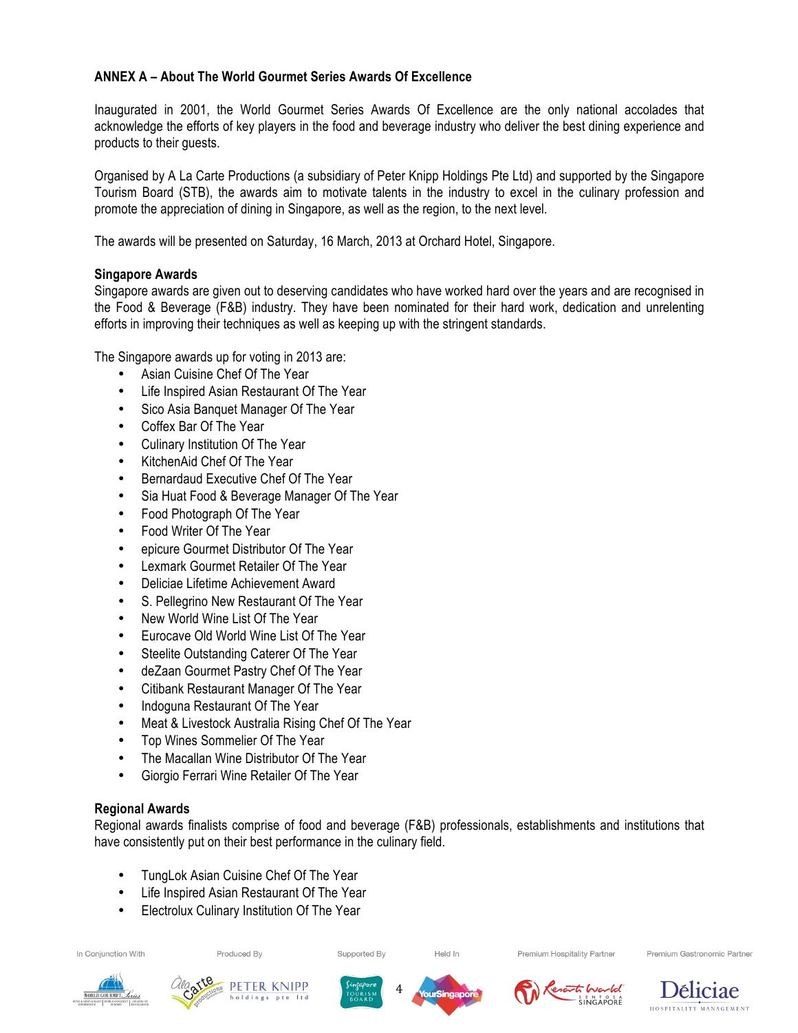# **ANNEX A – About The World Gourmet Series Awards Of Excellence**

Inaugurated in 2001, the World Gourmet Series Awards Of Excellence are the only national accolades that acknowledge the efforts of key players in the food and beverage industry who deliver the best dining experience and products to their guests.

Organised by A La Carte Productions (a subsidiary of Peter Knipp Holdings Pte Ltd) and supported by the Singapore Tourism Board (STB), the awards aim to motivate talents in the industry to excel in the culinary profession and promote the appreciation of dining in Singapore, as well as the region, to the next level.

The awards will be presented on Saturday, 16 March, 2013 at Orchard Hotel, Singapore.

# **Singapore Awards**

Singapore awards are given out to deserving candidates who have worked hard over the years and are recognised in the Food & Beverage (F&B) industry. They have been nominated for their hard work, dedication and unrelenting efforts in improving their techniques as well as keeping up with the stringent standards.

The Singapore awards up for voting in 2013 are:

- Asian Cuisine Chef Of The Year
- Life Inspired Asian Restaurant Of The Year
- Sico Asia Banquet Manager Of The Year
- Coffex Bar Of The Year
- Culinary Institution Of The Year
- KitchenAid Chef Of The Year
- Bernardaud Executive Chef Of The Year
- Sia Huat Food & Beverage Manager Of The Year
- Food Photograph Of The Year
- Food Writer Of The Year
- epicure Gourmet Distributor Of The Year
- Lexmark Gourmet Retailer Of The Year
- Deliciae Lifetime Achievement Award
- S. Pellegrino New Restaurant Of The Year
- New World Wine List Of The Year
- Eurocave Old World Wine List Of The Year
- Steelite Outstanding Caterer Of The Year
- deZaan Gourmet Pastry Chef Of The Year
- Citibank Restaurant Manager Of The Year
- Indoguna Restaurant Of The Year
- Meat & Livestock Australia Rising Chef Of The Year
- Top Wines Sommelier Of The Year
- The Macallan Wine Distributor Of The Year
- Giorgio Ferrari Wine Retailer Of The Year

# **Regional Awards**

Regional awards finalists comprise of food and beverage (F&B) professionals, establishments and institutions that have consistently put on their best performance in the culinary field.

4

- TungLok Asian Cuisine Chef Of The Year
- Life Inspired Asian Restaurant Of The Year
- Electrolux Culinary Institution Of The Year

In Conjunction With

Produced By

Supported By

Held In

Premium Hospitality Partner











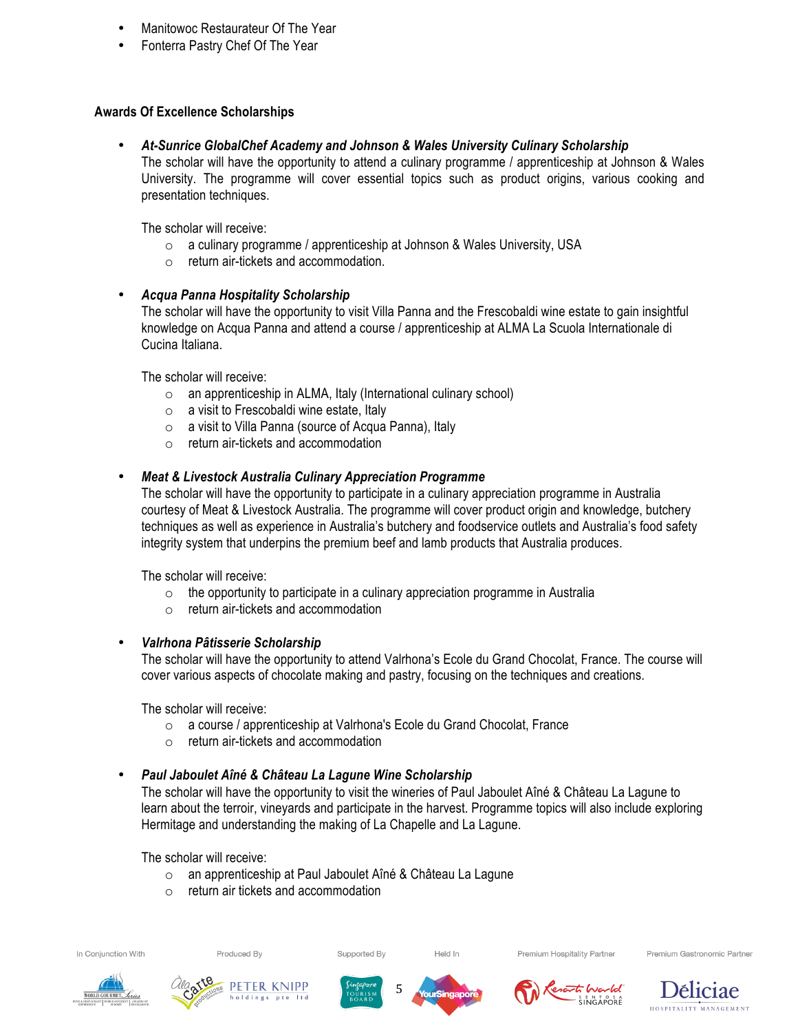- Manitowoc Restaurateur Of The Year
- Fonterra Pastry Chef Of The Year

# **Awards Of Excellence Scholarships**

• *At-Sunrice GlobalChef Academy and Johnson & Wales University Culinary Scholarship*

The scholar will have the opportunity to attend a culinary programme / apprenticeship at Johnson & Wales University. The programme will cover essential topics such as product origins, various cooking and presentation techniques.

The scholar will receive:

- o a culinary programme / apprenticeship at Johnson & Wales University, USA
- o return air-tickets and accommodation.

# • *Acqua Panna Hospitality Scholarship*

The scholar will have the opportunity to visit Villa Panna and the Frescobaldi wine estate to gain insightful knowledge on Acqua Panna and attend a course / apprenticeship at ALMA La Scuola Internationale di Cucina Italiana.

The scholar will receive:

- o an apprenticeship in ALMA, Italy (International culinary school)
- o a visit to Frescobaldi wine estate, Italy
- o a visit to Villa Panna (source of Acqua Panna), Italy
- o return air-tickets and accommodation

# • *Meat & Livestock Australia Culinary Appreciation Programme*

The scholar will have the opportunity to participate in a culinary appreciation programme in Australia courtesy of Meat & Livestock Australia. The programme will cover product origin and knowledge, butchery techniques as well as experience in Australia's butchery and foodservice outlets and Australia's food safety integrity system that underpins the premium beef and lamb products that Australia produces.

The scholar will receive:

- $\circ$  the opportunity to participate in a culinary appreciation programme in Australia
- o return air-tickets and accommodation

# • *Valrhona Pâtisserie Scholarship*

The scholar will have the opportunity to attend Valrhona's Ecole du Grand Chocolat, France. The course will cover various aspects of chocolate making and pastry, focusing on the techniques and creations.

The scholar will receive:

- o a course / apprenticeship at Valrhona's Ecole du Grand Chocolat, France
- o return air-tickets and accommodation

# • *Paul Jaboulet Aîné & Château La Lagune Wine Scholarship*

The scholar will have the opportunity to visit the wineries of Paul Jaboulet Aîné & Château La Lagune to learn about the terroir, vineyards and participate in the harvest. Programme topics will also include exploring Hermitage and understanding the making of La Chapelle and La Lagune.

The scholar will receive:

o an apprenticeship at Paul Jaboulet Aîné & Château La Lagune

Supported By

o return air tickets and accommodation



Produced By









Held In



Premium Hospitality Partner



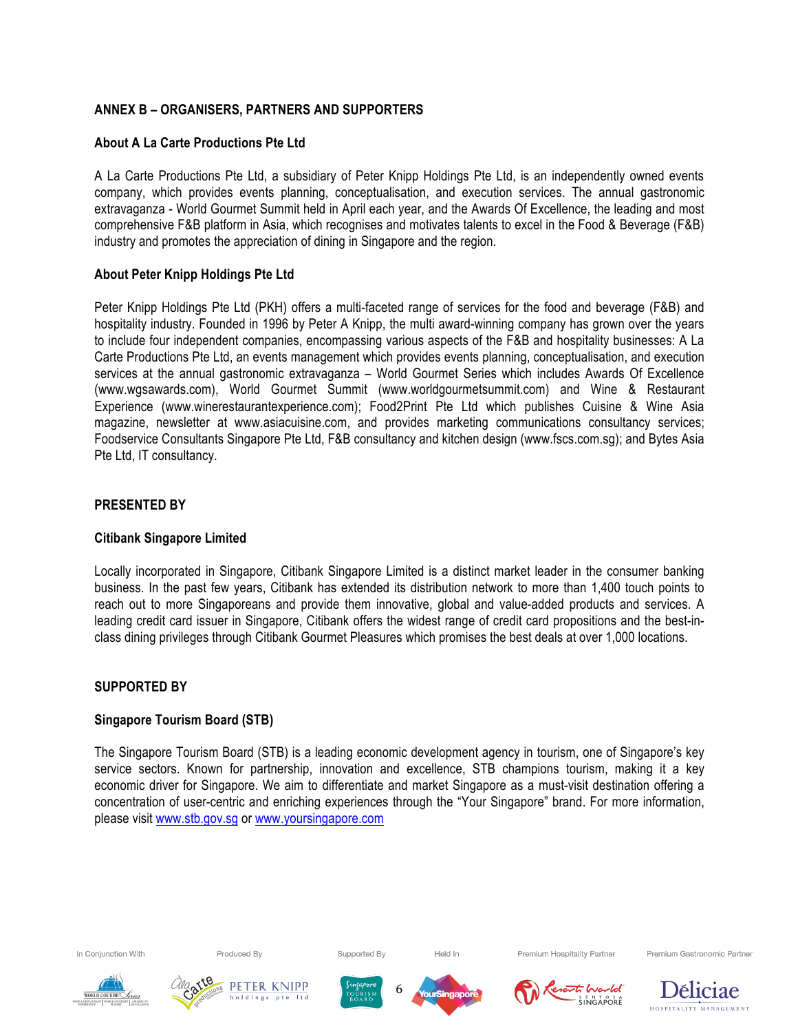# **ANNEX B – ORGANISERS, PARTNERS AND SUPPORTERS**

# **About A La Carte Productions Pte Ltd**

A La Carte Productions Pte Ltd, a subsidiary of Peter Knipp Holdings Pte Ltd, is an independently owned events company, which provides events planning, conceptualisation, and execution services. The annual gastronomic extravaganza - World Gourmet Summit held in April each year, and the Awards Of Excellence, the leading and most comprehensive F&B platform in Asia, which recognises and motivates talents to excel in the Food & Beverage (F&B) industry and promotes the appreciation of dining in Singapore and the region.

# **About Peter Knipp Holdings Pte Ltd**

Peter Knipp Holdings Pte Ltd (PKH) offers a multi-faceted range of services for the food and beverage (F&B) and hospitality industry. Founded in 1996 by Peter A Knipp, the multi award-winning company has grown over the years to include four independent companies, encompassing various aspects of the F&B and hospitality businesses: A La Carte Productions Pte Ltd, an events management which provides events planning, conceptualisation, and execution services at the annual gastronomic extravaganza – World Gourmet Series which includes Awards Of Excellence (www.wgsawards.com), World Gourmet Summit (www.worldgourmetsummit.com) and Wine & Restaurant Experience (www.winerestaurantexperience.com); Food2Print Pte Ltd which publishes Cuisine & Wine Asia magazine, newsletter at www.asiacuisine.com, and provides marketing communications consultancy services; Foodservice Consultants Singapore Pte Ltd, F&B consultancy and kitchen design (www.fscs.com.sg); and Bytes Asia Pte Ltd, IT consultancy.

## **PRESENTED BY**

#### **Citibank Singapore Limited**

Locally incorporated in Singapore, Citibank Singapore Limited is a distinct market leader in the consumer banking business. In the past few years, Citibank has extended its distribution network to more than 1,400 touch points to reach out to more Singaporeans and provide them innovative, global and value-added products and services. A leading credit card issuer in Singapore, Citibank offers the widest range of credit card propositions and the best-inclass dining privileges through Citibank Gourmet Pleasures which promises the best deals at over 1,000 locations.

#### **SUPPORTED BY**

# **Singapore Tourism Board (STB)**

The Singapore Tourism Board (STB) is a leading economic development agency in tourism, one of Singapore's key service sectors. Known for partnership, innovation and excellence, STB champions tourism, making it a key economic driver for Singapore. We aim to differentiate and market Singapore as a must-visit destination offering a concentration of user-centric and enriching experiences through the "Your Singapore" brand. For more information, please visit www.stb.gov.sg or www.yoursingapore.com

6

In Conjunction With

Produced By





Supported By



Held In



Premium Hospitality Partner